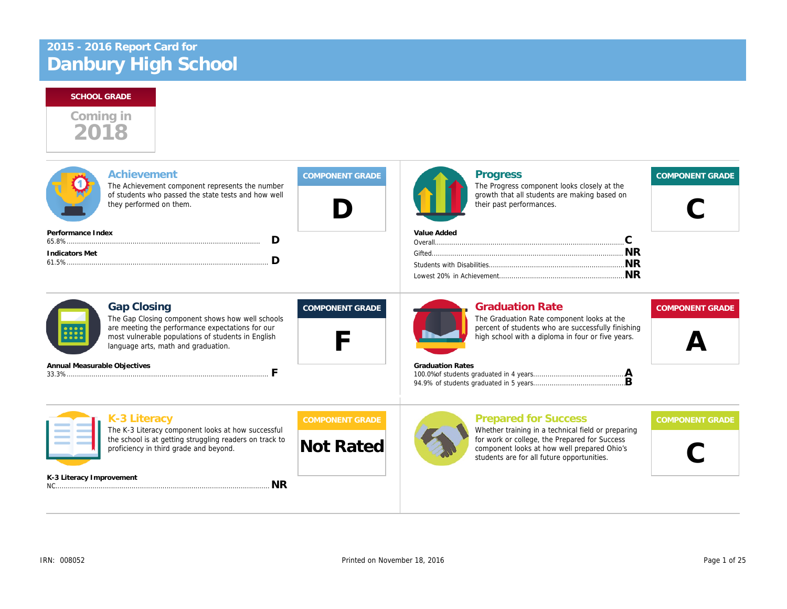## 2018 Coming in

| Achievement<br>The Achievement component represents the number<br>of students who passed the state tests and how well<br>they performed on them.                                                                                                             |                                            | <b>Progress</b><br>The Progress component looks closely a<br>growth that all students are making base<br>their past performances.                                                                              |
|--------------------------------------------------------------------------------------------------------------------------------------------------------------------------------------------------------------------------------------------------------------|--------------------------------------------|----------------------------------------------------------------------------------------------------------------------------------------------------------------------------------------------------------------|
| Performance Index<br>D<br><b>Indicators Met</b><br>D                                                                                                                                                                                                         |                                            | Value Added                                                                                                                                                                                                    |
| <b>Gap Closing</b><br>The Gap Closing component shows how well schools<br>are meeting the performance expectations for our<br>most vulnerable populations of students in English<br>language arts, math and graduation.<br>Annual Measurable Objectives<br>F | <b>COMPONENT GRADE</b>                     | <b>Graduation Rate</b><br>The Graduation Rate component looks a<br>percent of students who are successfull<br>high school with a diploma in four or five<br><b>Graduation Rates</b>                            |
| K-3 Literacy<br>The K-3 Literacy component looks at how successful<br>the school is at getting struggling readers on track to<br>proficiency in third grade and beyond.                                                                                      | <b>COMPONENT GRADE</b><br><b>Not Rated</b> | <b>Prepared for Success</b><br>Whether training in a technical field or p<br>for work or college, the Prepared for Sue<br>component looks at how well prepared (<br>students are for all future opportunities. |
| K-3 Literacy Improvement<br><b>NR</b>                                                                                                                                                                                                                        |                                            |                                                                                                                                                                                                                |
|                                                                                                                                                                                                                                                              |                                            |                                                                                                                                                                                                                |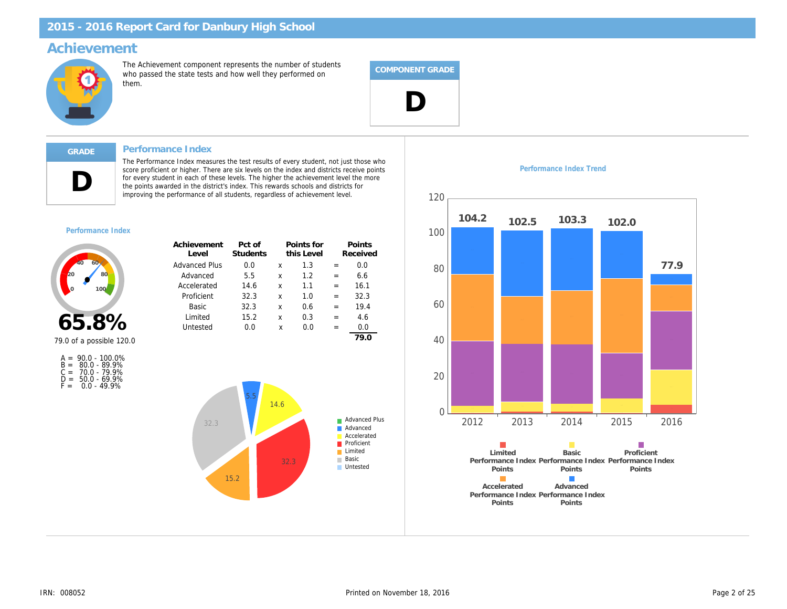#### Achievement

The Achievement component represents the number of students who passed the state tests and how well they performed on them.



#### Performance Index

The Performance Index measures the test results of every student, not just those who score proficient or higher. There are six levels on the index and districts receive points for every student in each of these levels. The higher the achievement level the more the points awarded in the district's index. This rewards schools and districts for improving the performance of all students, regardless of achievement level.

#### Performance Index

D

| Achievement<br>Level | Pct of<br>Students |   | Points for<br>this Level |   | Points<br>Received |
|----------------------|--------------------|---|--------------------------|---|--------------------|
| <b>Advanced Plus</b> | 0.0                | x | 1.3                      |   | 0.0                |
| Advanced             | 5.5                | x | 1.2                      | = | 6.6                |
| Accelerated          | 14.6               | x | 1.1                      | = | 16.1               |
| Proficient           | 32.3               | x | 1.0                      | = | 32.3               |
| Basic                | 32.3               | x | 0.6                      |   | 19.4               |
| Limited              | 15.2               | x | 0.3                      | = | 4.6                |
| Untested             | 0.0                | x | 0.0                      |   | 0.0                |
|                      |                    |   |                          |   | 79.0               |



79.0 of a possible 120.0

|       | $A = 90.0 - 100.0\%$ |
|-------|----------------------|
|       | $B = 80.0 - 89.9%$   |
| $C =$ | 70.0 - 79.9%         |
| D =   | $50.0 - 69.9%$       |
| F =   | $0.0 - 49.9%$        |

Performance Index Trend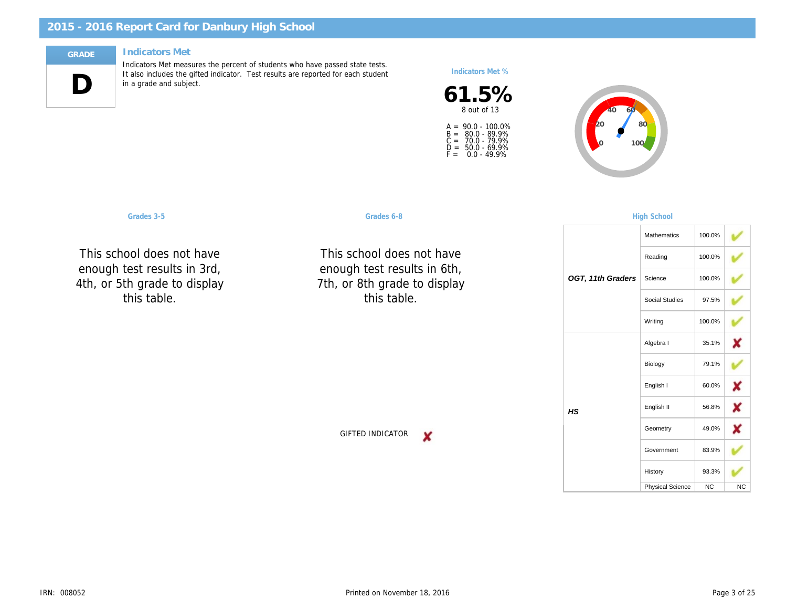#### **Indicators Met**

D

Indicators Met measures the percent of students who have passed state tests. It also includes the gifted indicator. Test results are reported for each student in a grade and subject.

Indicators Met %

61.5% 8 out of 13

A =<br>B =<br>C =<br>D =<br>F = 90.0 - 100.0% 80.0 - 89.9% 70.0 - 79.9% 50.0 - 69.9% 0.0 - 49.9%

Grades 3-5 Grades 6-8 High School and School and School and School and School and School and School and School and School and School and School and School and School and School and School and School and School and School a

This school does not have enough test results in 3rd, 4th, or 5th grade to display this table.

This school does not have enough test results in 6th, 7th, or 8th grade to display this table.

GIFTED INDICATOR

OGT, 11th 0

HS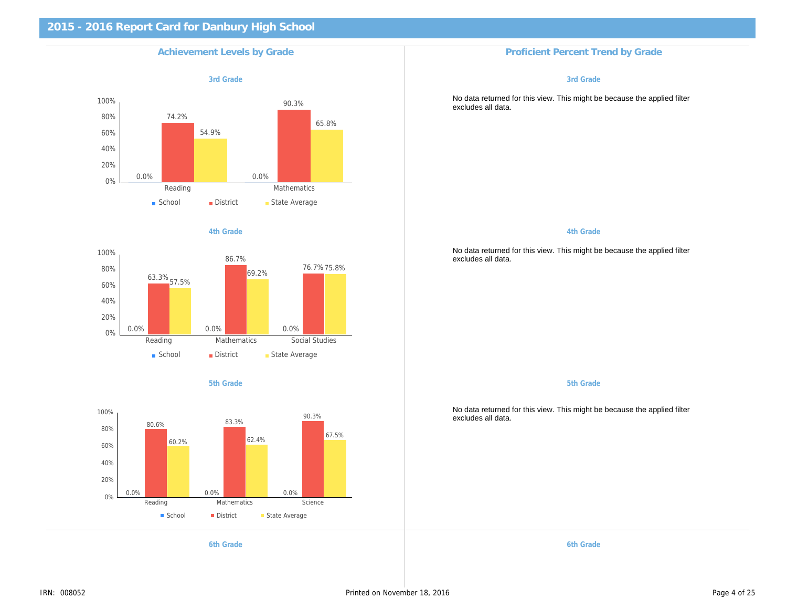## Achievement Levels by Grade **Proficient Percent Trend by Grade** Proficient Percent Trend 3rd Grade No data returned for this view. This might be b excludes all data. 3rd Grade 4th Grade No data returned for this view. This might be b excludes all data. 4th Grade 5th Grade No data returned for this view. This might be b excludes all data. 5th Grade

6th Grade 6th Grade 6th Grade 6th Grade 6th Grade 6th Grade 6th Grade 6th Grade 6th Grade 6th Grade 6th Grade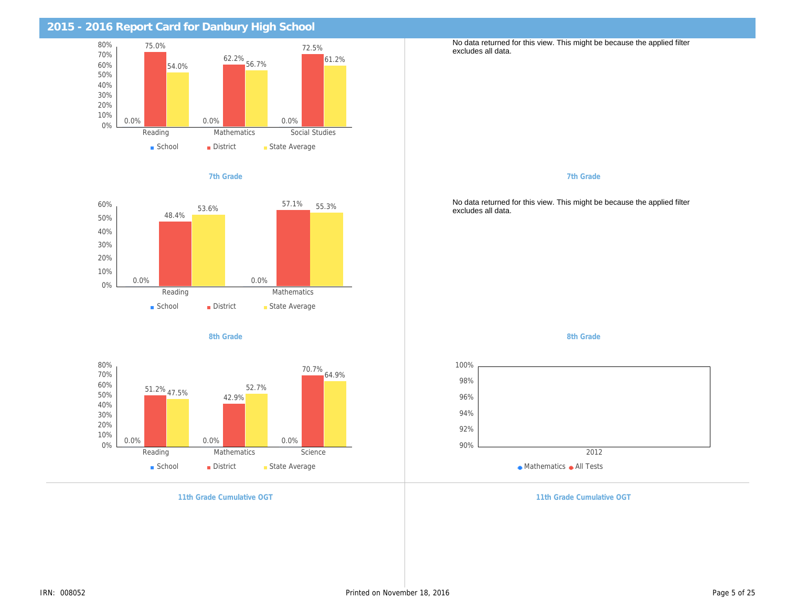# 2015 - 2016 Report Card for Danbury High School No data returned for this view. This might be b excludes all data. 7th Grade No data returned for this view. This might be b excludes all data. 7th Grade 8th Grade 8th Grade 8th Grade 8th Grade 8th Grade 8th Grade 8th Grade 8th Grade 8th Grade 8th Grade 8th Grade 11th Grade Cumulative OGT **11th Grade Cumulative OGT** 11th Grade Cumulative OGT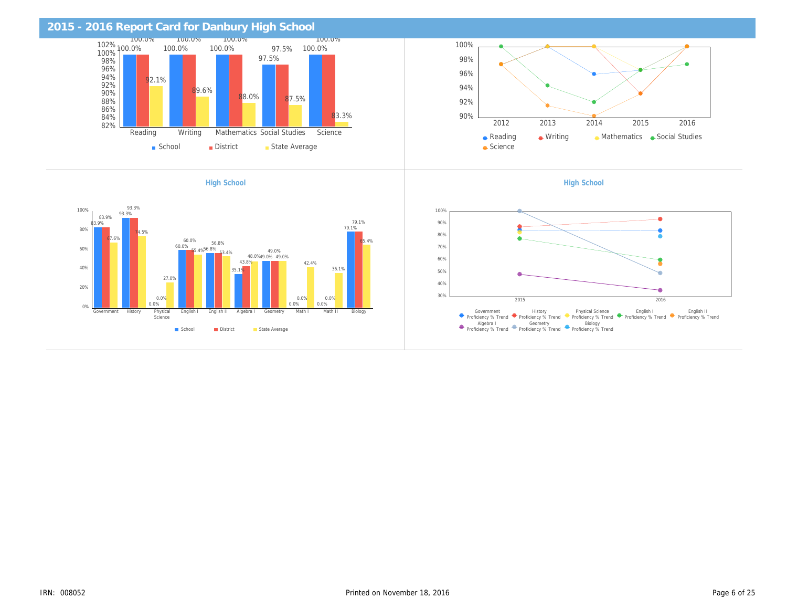| 2015 - 2016 Report Card for Danbury High School |  |
|-------------------------------------------------|--|
|                                                 |  |

| <b>High School</b> | <b>High School</b> |
|--------------------|--------------------|
|                    |                    |
|                    |                    |
|                    |                    |
|                    |                    |
|                    |                    |
|                    |                    |
|                    |                    |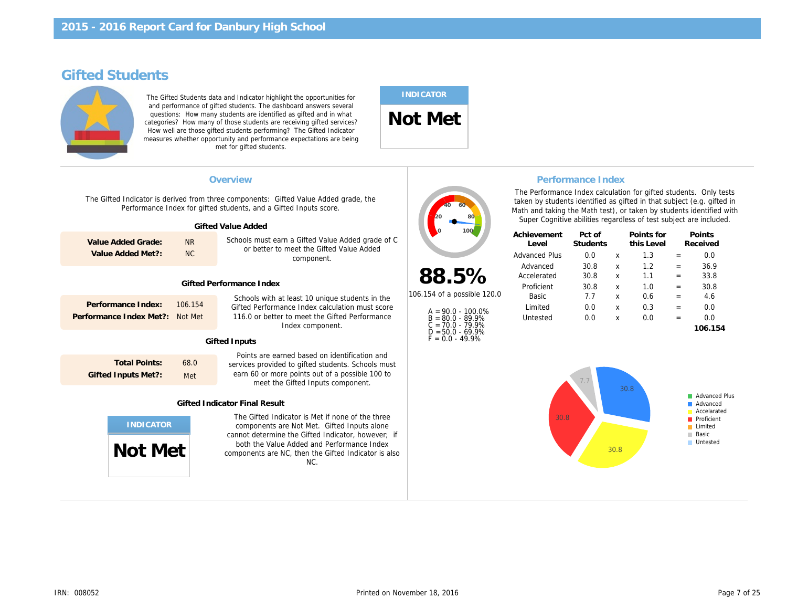## Gifted Students

The Gifted Students data and Indicator highlight the opportunities for and performance of gifted students. The dashboard answers several questions: How many students are identified as gifted and in what categories? How many of those students are receiving gifted services? How well are those gifted students performing? The Gifted Indicator measures whether opportunity and performance expectations are being met for gifted students.

#### INDICATOR

Not Met

|                                                    |                        | Overview<br>The Gifted Indicator is derived from three components: Gifted Value Added grade, the<br>Performance Index for gifted students, and a Gifted Inputs score.                                                                                              |                                                                 | The Performance Index cald<br>taken by students identified<br>Math and taking the Math tes<br>Super Cognitive abilities re | <b>Performance Inde</b>                  |
|----------------------------------------------------|------------------------|--------------------------------------------------------------------------------------------------------------------------------------------------------------------------------------------------------------------------------------------------------------------|-----------------------------------------------------------------|----------------------------------------------------------------------------------------------------------------------------|------------------------------------------|
| Value Added Grade:<br>Value Added Met?:            | <b>NR</b><br><b>NC</b> | <b>Gifted Value Added</b><br>Schools must earn a Gifted Value Added grade of C<br>or better to meet the Gifted Value Added<br>component.                                                                                                                           |                                                                 | Achievement<br>Level<br><b>Advanced Plus</b><br>Advanced                                                                   | Pct of<br><b>Students</b><br>0.0<br>30.8 |
|                                                    |                        | <b>Gifted Performance Index</b>                                                                                                                                                                                                                                    | 88.5%<br>106.154 of a possible 120.0                            | Accelerated<br>Proficient                                                                                                  | 30.8<br>30.8<br>7.7                      |
| Performance Index:<br>Performance Index Met?:      | 106.154<br>Not Met     | Schools with at least 10 unique students in the<br>Gifted Performance Index calculation must score<br>116.0 or better to meet the Gifted Performance<br>Index component.                                                                                           | $A = 90.0 - 100.0\%$<br>$B = 80.0 - 89.9\%$<br>C = 70.0 - 79.9% | Basic<br>Limited<br>Untested                                                                                               | 0.0<br>0.0                               |
|                                                    |                        | <b>Gifted Inputs</b>                                                                                                                                                                                                                                               | $D = 50.0 - 69.9%$<br>$F = 0.0 - 49.9%$                         |                                                                                                                            |                                          |
| <b>Total Points:</b><br><b>Gifted Inputs Met?:</b> | 68.0<br>Met            | Points are earned based on identification and<br>services provided to gifted students. Schools must<br>earn 60 or more points out of a possible 100 to<br>meet the Gifted Inputs component.                                                                        |                                                                 |                                                                                                                            |                                          |
|                                                    |                        | <b>Gifted Indicator Final Result</b>                                                                                                                                                                                                                               |                                                                 |                                                                                                                            |                                          |
| Not Met                                            |                        | The Gifted Indicator is Met if none of the three<br>components are Not Met. Gifted Inputs alone<br>cannot determine the Gifted Indicator, however; if<br>both the Value Added and Performance Index<br>components are NC, then the Gifted Indicator is also<br>NC. |                                                                 |                                                                                                                            |                                          |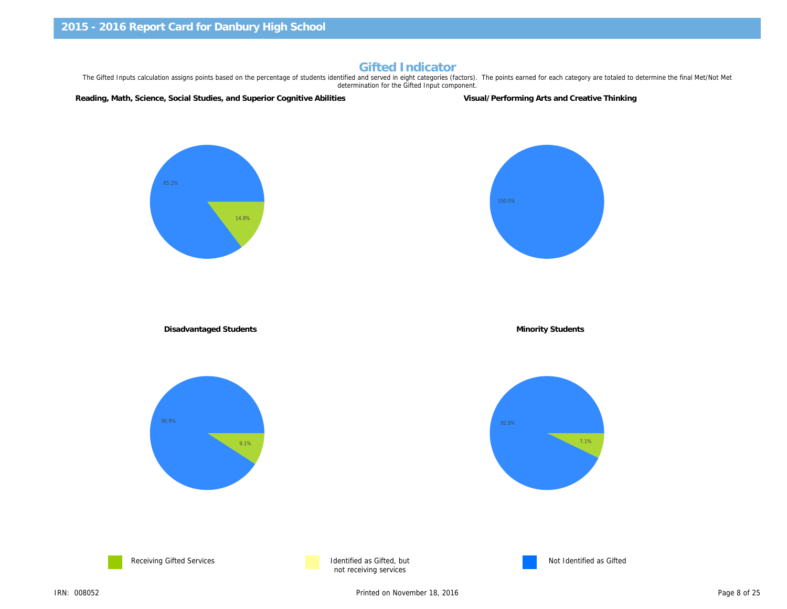## Gifted Indicator

The Gifted Inputs calculation assigns points based on the percentage of students identified and served in eight categories (factors). The points earned for each category are to determination for the Gifted Input component.

Reading, Math, Science, Social Studies, and Superior Cognitive Abilities Visual/Performing Arts and Creative Thinkin

Disadvantaged Students **Minority Students** Minority Students





not receiving services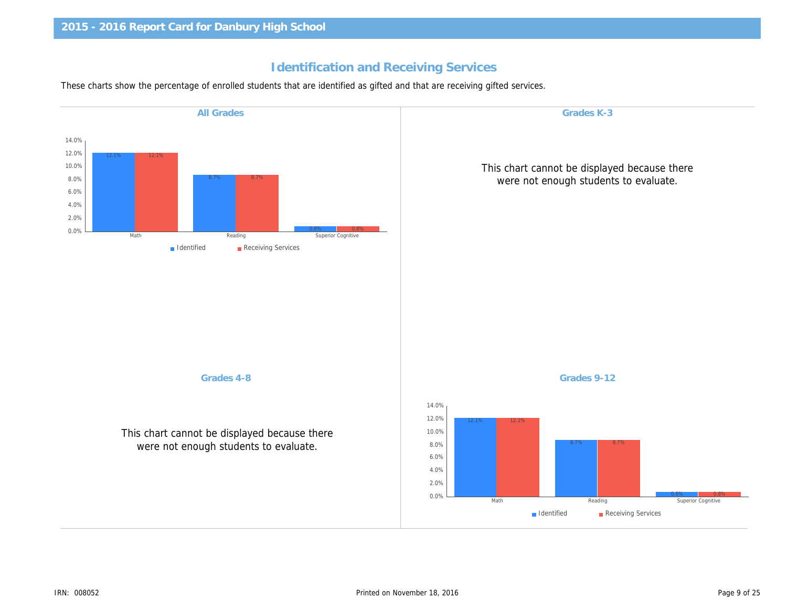## Identification and Receiving Services

These charts show the percentage of enrolled students that are identified as gifted and that are receiving gifted services.

| <b>All Grades</b>                                                                     | Grades K-3                                            |
|---------------------------------------------------------------------------------------|-------------------------------------------------------|
|                                                                                       | This chart cannot be displa<br>were not enough studer |
|                                                                                       |                                                       |
|                                                                                       |                                                       |
| Grades 4-8                                                                            | Grades 9-12                                           |
| This chart cannot be displayed because there<br>were not enough students to evaluate. |                                                       |
|                                                                                       |                                                       |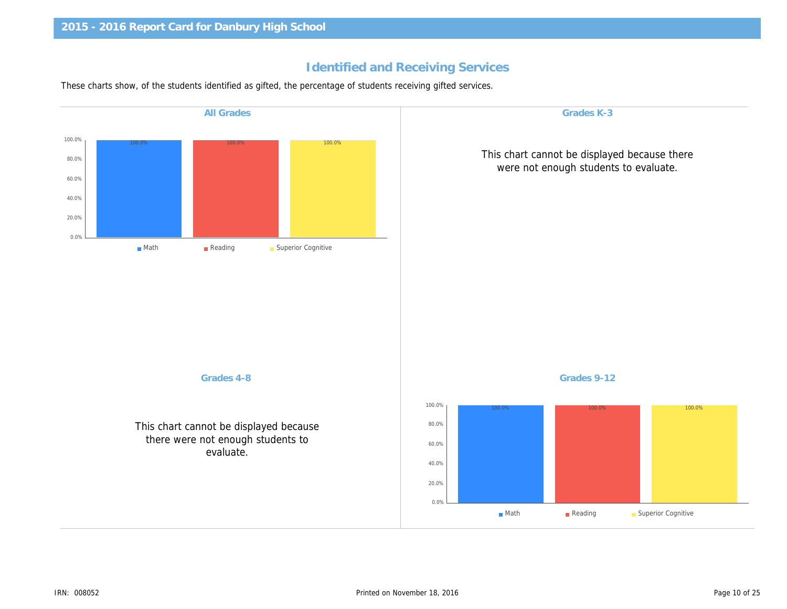## Identified and Receiving Services

These charts show, of the students identified as gifted, the percentage of students receiving gifted services.

| <b>All Grades</b>                                                                        | Grades K-3                                            |
|------------------------------------------------------------------------------------------|-------------------------------------------------------|
|                                                                                          | This chart cannot be displa<br>were not enough studer |
|                                                                                          |                                                       |
|                                                                                          |                                                       |
|                                                                                          |                                                       |
| Grades 4-8                                                                               | Grades 9-12                                           |
| This chart cannot be displayed because<br>there were not enough students to<br>evaluate. |                                                       |
|                                                                                          |                                                       |
|                                                                                          |                                                       |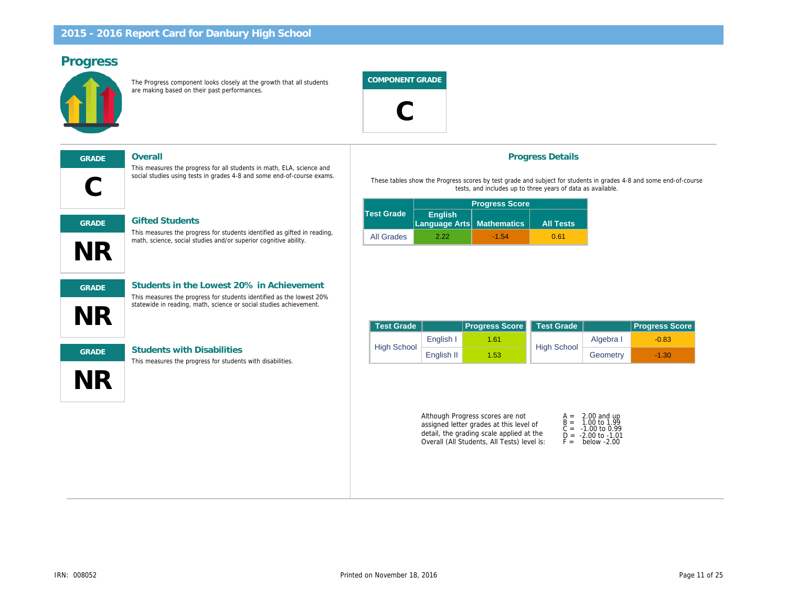#### Progress

The Progress component looks closely at the growth that all students are making based on their past performances.

COMPONENT GRADE



 $\bigcap$ GRADE Overall

NR

GRADE Gifted Students

This measures the progress for students identified as gifted in reading, math, science, social studies and/or superior cognitive ability.

This measures the progress for students identified as the lowest 20% statewide in reading, math, science or social studies achievement.

This measures the progress for all students in math, ELA, science and social studies using tests in grades 4-8 and some end-of-course exams.

#### Progress Details

These tables show the Progress scores by test grade and subject for students in gra<br>tests, and includes up to three years of data as availal

|                   |                                 | <b>Progress Score</b> |                  |
|-------------------|---------------------------------|-----------------------|------------------|
| <b>Test Grade</b> | <b>English</b><br>Language Arts | <b>Mathematics</b>    | <b>All Tests</b> |
| <b>All Grades</b> | 2 22                            | $-1.54$               | 0.61             |

|  | <b>Test Grade</b>  |            | <b>Progress Score</b> | <b>Test Grade</b>  |       |
|--|--------------------|------------|-----------------------|--------------------|-------|
|  | <b>High School</b> | English I  | 1.61                  |                    | Algel |
|  |                    | English II | 1.53.                 | <b>High School</b> | Geon  |

Although Progress scores are not assigned letter grades at this level of detail, the grading scale applied at the Overall (All Students, All Tests) level is:



NR

NR

#### GRADE Students with Disabilities

GRADE Students in the Lowest 20% in Achievement

This measures the progress for students with disabilities.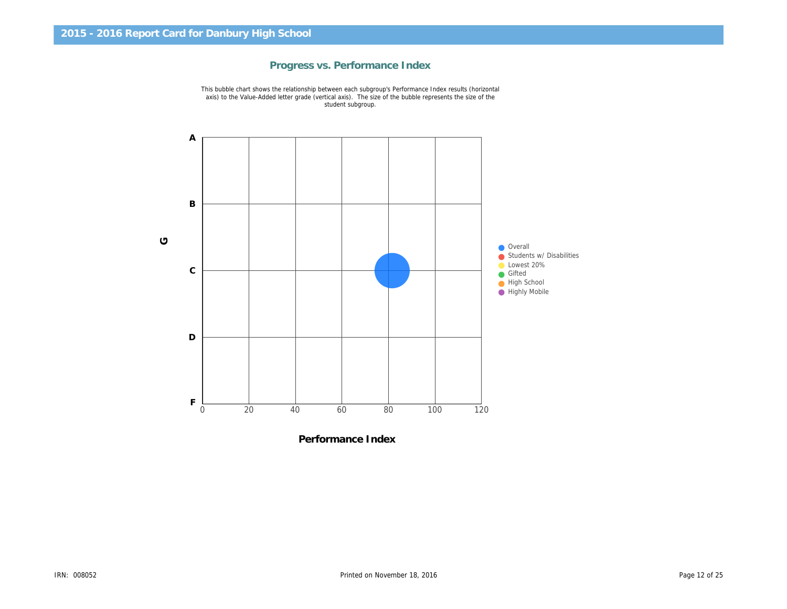

#### Progress vs. Performance Index

Performance Index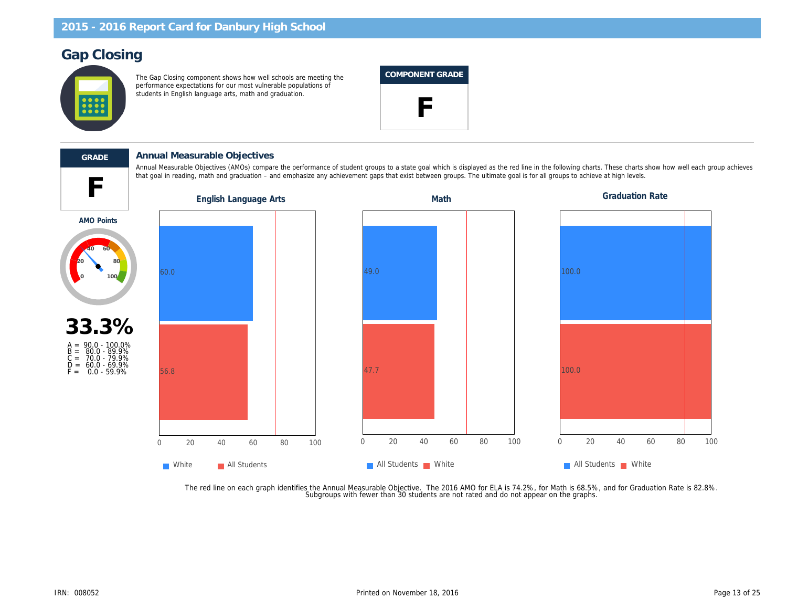## Gap Closing

The Gap Closing component shows how well schools are meeting the performance expectations for our most vulnerable populations of students in English language arts, math and graduation.

## COMPONENT GRADE





#### GRADE Annual Measurable Objectives

Annual Measurable Objectives (AMOs) compare the performance of student groups to a state goal which is displayed as the red line in the following charts. T that goal in reading, math and graduation – and emphasize any achievement gaps that exist between groups. The ultimate goal is for all groups to achieve at

English Language Arts **Graduation Rate** Math Math Graduation Rate Control Rate Control Rate Control Rate Control Rate Control Rate Control Rate Control Rate Control Rate Control Rate Control Rate Control Rate Control Rate

AMO Points



A = 90.0 - 100.0% B = 80.0 - 89.9% C = 70.0 - 79.9% D = 60.0 - 69.9%  $F = 0.0 - 59.9\%$ 

The red line on each graph identifies the Annual Measurable Objective. The 2016 AMO for ELA is 74.2%, for Math is 68.5%, a<br>Subgroups with fewer than 30 students are not rated and do not appear on the graphs.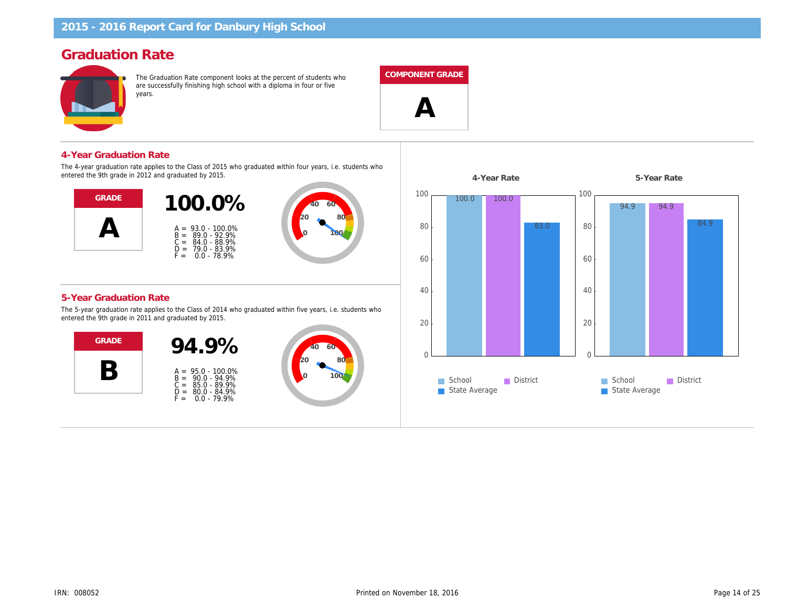## Graduation Rate

The Graduation Rate component looks at the percent of students who are successfully finishing high school with a diploma in four or five years.

#### COMPONENT GRADE

 $\blacktriangle$ 

4-Year Graduation Rate

The 4-year graduation rate applies to the Class of 2015 who graduated within four years, i.e. students who entered the 9th grade in 2012 and graduated by 2015.



#### 5-Year Graduation Rate

The 5-year graduation rate applies to the Class of 2014 who graduated within five years, i.e. students who entered the 9th grade in 2011 and graduated by 2015.

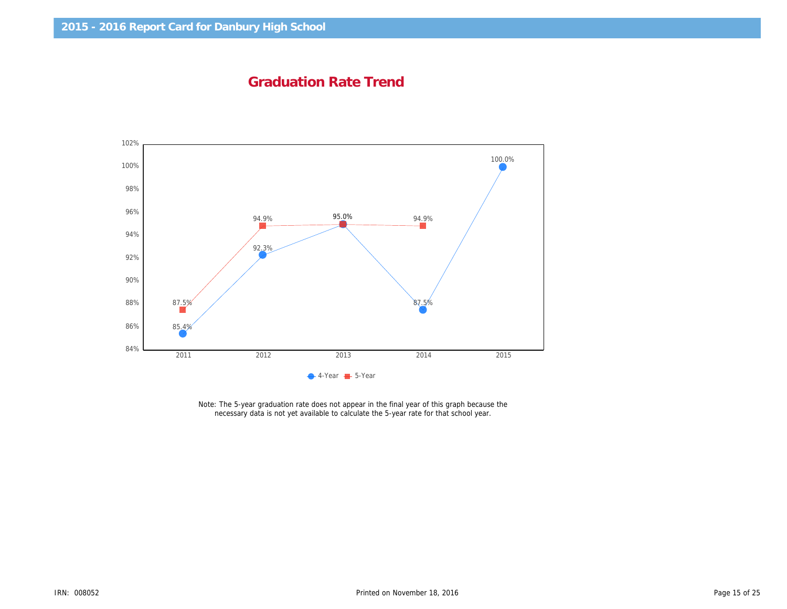Graduation Rate Trend

Note: The 5-year graduation rate does not appear in the final year of this graph because the necessary data is not yet available to calculate the 5-year rate for that school year.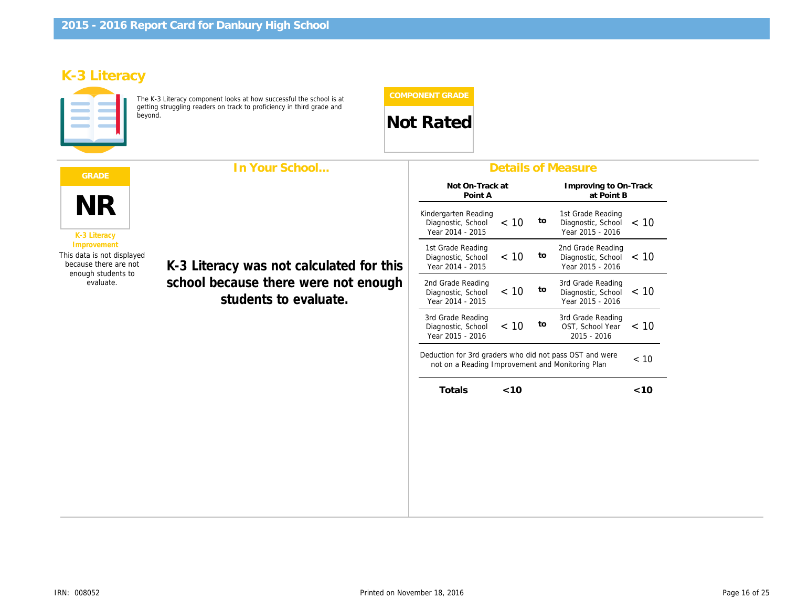## K-3 Literacy

The K-3 Literacy component looks at how successful the school is at getting struggling readers on track to proficiency in third grade and beyond. Not Rated



|                                                                                          | In Your School                                                |                                                                                                           |      |    | <b>Details of Measure</b>                        |
|------------------------------------------------------------------------------------------|---------------------------------------------------------------|-----------------------------------------------------------------------------------------------------------|------|----|--------------------------------------------------|
|                                                                                          |                                                               | Not On-Track at<br>Point A                                                                                |      |    | Improving to<br>at Poi                           |
| <b>NR</b><br>K-3 Literacy                                                                |                                                               | Kindergarten Reading<br>Diagnostic, School<br>Year 2014 - 2015                                            | < 10 | to | 1st Grade Rea<br>Diagnostic, So<br>Year 2015 - 2 |
| Improvement<br>This data is not displayed<br>because there are not<br>enough students to | K-3 Literacy was not calculated for this                      | 1st Grade Reading<br>Diagnostic, School<br>Year 2014 - 2015                                               | < 10 | to | 2nd Grade Rea<br>Diagnostic, So<br>Year 2015 - 2 |
| evaluate.                                                                                | school because there were not enough<br>students to evaluate. | 2nd Grade Reading<br>Diagnostic, School<br>Year 2014 - 2015                                               | < 10 | to | 3rd Grade Rea<br>Diagnostic, So<br>Year 2015 - 2 |
|                                                                                          |                                                               | 3rd Grade Reading<br>Diagnostic, School<br>Year 2015 - 2016                                               | < 10 | to | 3rd Grade Rea<br>OST, School<br>$2015 - 2010$    |
|                                                                                          |                                                               | Deduction for 3rd graders who did not pass OST and we<br>not on a Reading Improvement and Monitoring Plan |      |    |                                                  |
|                                                                                          |                                                               | <b>Totals</b>                                                                                             | < 10 |    |                                                  |
|                                                                                          |                                                               |                                                                                                           |      |    |                                                  |
|                                                                                          |                                                               |                                                                                                           |      |    |                                                  |
|                                                                                          |                                                               |                                                                                                           |      |    |                                                  |
|                                                                                          |                                                               |                                                                                                           |      |    |                                                  |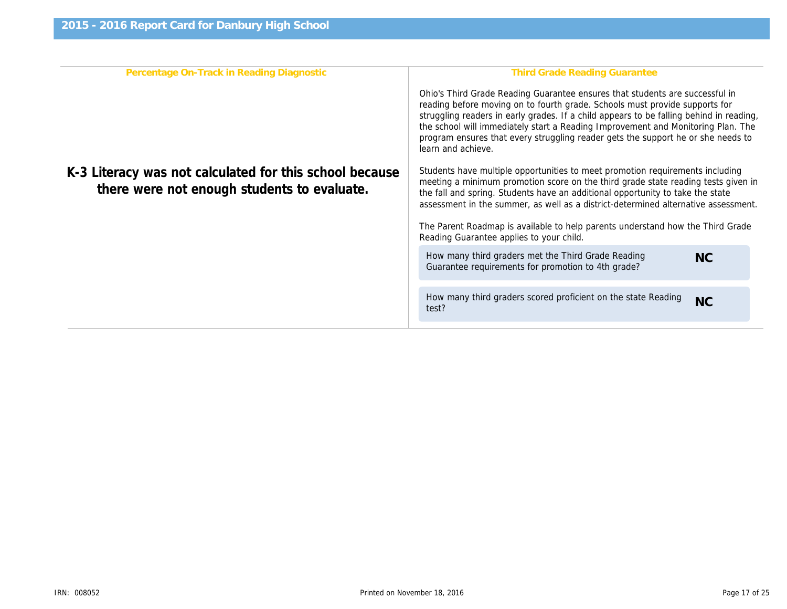| Percentage On-Track in Reading Diagnostic                                                              | Third Grade Reading Gr                                                                                                                                                                                                                                                        |
|--------------------------------------------------------------------------------------------------------|-------------------------------------------------------------------------------------------------------------------------------------------------------------------------------------------------------------------------------------------------------------------------------|
|                                                                                                        | Ohio's Third Grade Reading Guarantee ensure<br>reading before moving on to fourth grade. Scho<br>struggling readers in early grades. If a child ap<br>the school will immediately start a Reading Imp<br>program ensures that every struggling reader g<br>learn and achieve. |
| K-3 Literacy was not calculated for this school because<br>there were not enough students to evaluate. | Students have multiple opportunities to meet p<br>meeting a minimum promotion score on the thi<br>the fall and spring. Students have an additional<br>assessment in the summer, as well as a distric                                                                          |
|                                                                                                        | The Parent Roadmap is available to help parer<br>Reading Guarantee applies to your child.                                                                                                                                                                                     |
|                                                                                                        | How many third graders met the Third Grade<br>Guarantee requirements for promotion to 4th                                                                                                                                                                                     |
|                                                                                                        | How many third graders scored proficient on<br>test?                                                                                                                                                                                                                          |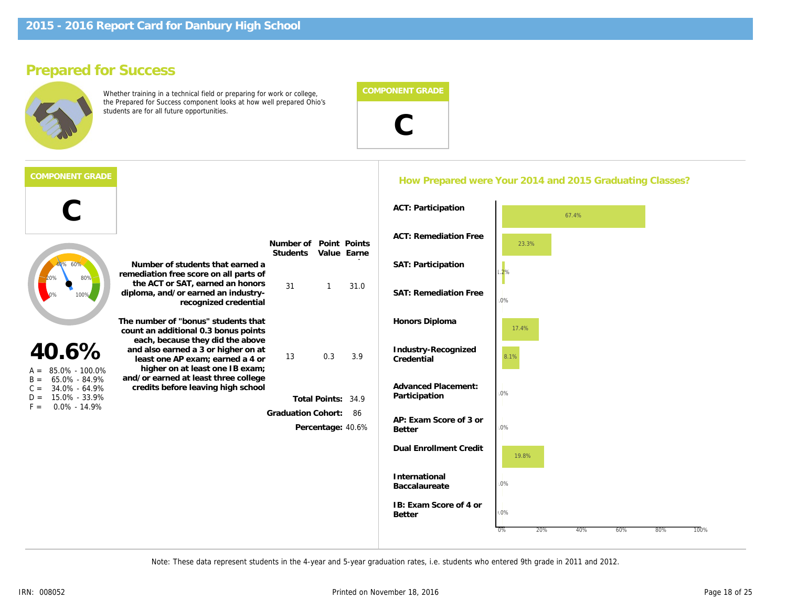## Prepared for Success

Whether training in a technical field or preparing for work or college, the Prepared for Success component looks at how well prepared Ohio's students are for all future opportunities.



#### How Prepared were Your 2014 and 2015 Graduati

|                                                                            |                                                                                                                                                |                           |                      |              | <b>ACT: Participation</b>                   |
|----------------------------------------------------------------------------|------------------------------------------------------------------------------------------------------------------------------------------------|---------------------------|----------------------|--------------|---------------------------------------------|
|                                                                            |                                                                                                                                                | Number of                 |                      | Point Points | <b>ACT: Remediation Free</b>                |
|                                                                            | Number of students that earned a<br>remediation free score on all parts of                                                                     | <b>Students</b>           | Value                | Earne        | SAT: Participation                          |
|                                                                            | the ACT or SAT, earned an honors<br>diploma, and/or earned an industry-<br>recognized credential                                               | 31                        | 1                    | 31.0         | <b>SAT: Remediation Free</b>                |
|                                                                            | The number of "bonus" students that<br>count an additional 0.3 bonus points                                                                    |                           |                      |              | Honors Diploma                              |
| 40.6%<br>$A = 85.0\% - 100.0\%$                                            | each, because they did the above<br>and also earned a 3 or higher on at<br>least one AP exam; earned a 4 or<br>higher on at least one IB exam; | 13                        | 0.3                  | 3.9          | Industry-Recognized<br>Credential           |
| 65.0% - 84.9%<br>$B =$<br>34.0% - 64.9%<br>$C =$<br>15.0% - 33.9%<br>$D =$ | and/or earned at least three college<br>credits before leaving high school                                                                     |                           |                      |              | <b>Advanced Placement:</b><br>Participation |
| $F =$<br>$0.0\% - 14.9\%$                                                  |                                                                                                                                                |                           | <b>Total Points:</b> | 34.9         |                                             |
|                                                                            |                                                                                                                                                | <b>Graduation Cohort:</b> | Percentage:          | 86<br>40.6%  | AP: Exam Score of 3 or<br><b>Better</b>     |
|                                                                            |                                                                                                                                                |                           |                      |              | <b>Dual Enrollment Credit</b>               |
|                                                                            |                                                                                                                                                |                           |                      |              | International<br>Baccalaureate              |
|                                                                            |                                                                                                                                                |                           |                      |              | IB: Exam Score of 4 or<br><b>Better</b>     |
|                                                                            |                                                                                                                                                |                           |                      |              |                                             |

Note: These data represent students in the 4-year and 5-year graduation rates, i.e. students who entered 9th grade in 2011 and 2012.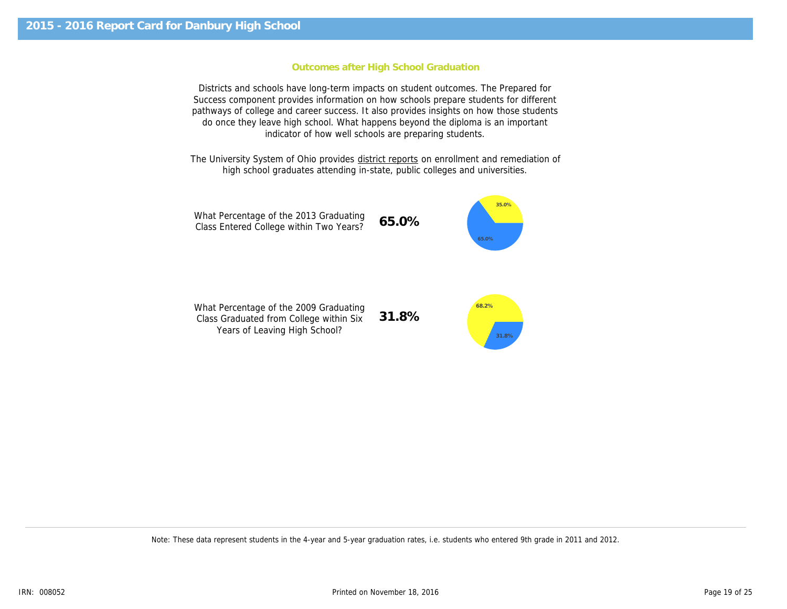#### Outcomes after High School Graduation

Districts and schools have long-term impacts on student outcomes. The Prepared for Success component provides information on how schools prepare students for different pathways of college and career success. It also provides insights on how those students do once they leave high school. What happens beyond the diploma is an important indicator of how well schools are preparing students.

The University System of Ohio provides district reports on enrollment and remediation of high school graduates attending in-state, public colleges and universities.

What Percentage of the 2013 Graduating what Percentage of the 2013 Graduating<br>Class Entered College within Two Years? 65.0%

What Percentage of the 2009 Graduating Class Graduated from College within Six Years of Leaving High School? 31.8%

Note: These data represent students in the 4-year and 5-year graduation rates, i.e. students who entered 9th grade in 2011 and 2012.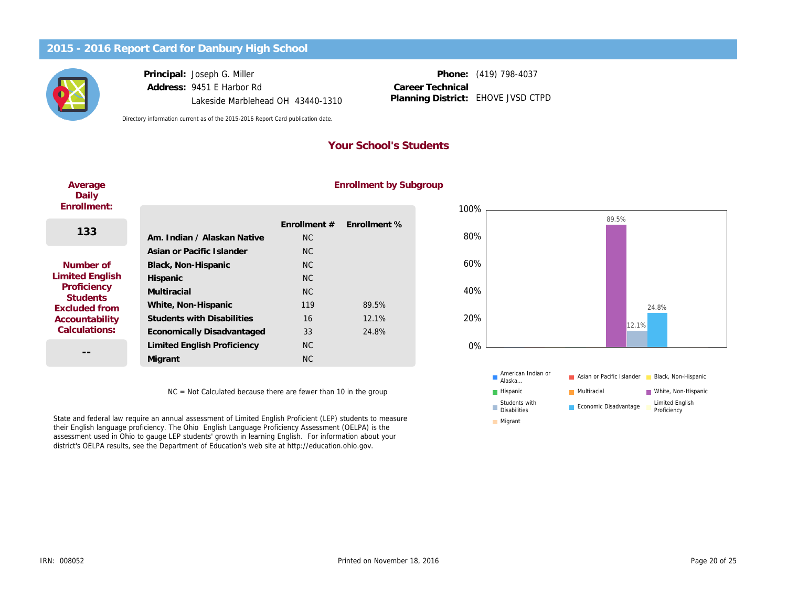Principal: Address: 9451 E Harbor Rd Joseph G. Miller Lakeside Marblehead OH 43440-1310

Phone: (419) 798-4037 EHOVE JVSD CTPD Career Technical Planning District:

Directory information current as of the 2015-2016 Report Card publication date.

#### Your School's Students

| Average<br>Daily<br>Enrollment:                                                                                                  |                                                                                                                                                                       |                                                                               | <b>Enrollment by S</b>  |
|----------------------------------------------------------------------------------------------------------------------------------|-----------------------------------------------------------------------------------------------------------------------------------------------------------------------|-------------------------------------------------------------------------------|-------------------------|
| 133                                                                                                                              | Enrollment #<br>Am. Indian / Alaskan Native<br>N <sub>C</sub>                                                                                                         | Enrollment %                                                                  |                         |
| Number of<br><b>Limited English</b><br>Proficiency<br><b>Students</b><br><b>Excluded from</b><br>Accountability<br>Calculations: | Asian or Pacific Islander<br>Black, Non-Hispanic<br>Hispanic<br>Multiracial<br>White, Non-Hispanic<br><b>Students with Disabilities</b><br>Economically Disadvantaged | <b>NC</b><br>N <sub>C</sub><br><b>NC</b><br>N <sub>C</sub><br>119<br>16<br>33 | 89.5%<br>12.1%<br>24.8% |
|                                                                                                                                  | Limited English Proficiency<br>Migrant                                                                                                                                | NC.<br><b>NC</b>                                                              |                         |

#### Subgroup

NC = Not Calculated because there are fewer than 10 in the group

State and federal law require an annual assessment of Limited English Proficient (LEP) students to measure their English language proficiency. The Ohio English Language Proficiency Assessment (OELPA) is the assessment used in Ohio to gauge LEP students' growth in learning English. For information about your district's OELPA results, see the Department of Education's web site at http://education.ohio.gov.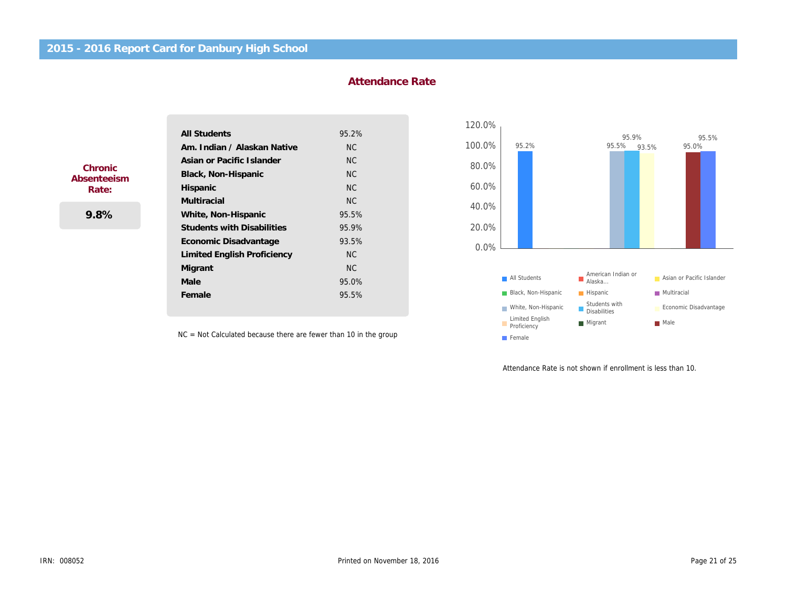#### Attendance Rate

|             | <b>All Students</b>                | 95.2%     |
|-------------|------------------------------------|-----------|
|             | Am. Indian / Alaskan Native        | <b>NC</b> |
| Chronic     | Asian or Pacific Islander          | <b>NC</b> |
| Absenteeism | Black, Non-Hispanic                | <b>NC</b> |
| Rate:       | Hispanic                           | <b>NC</b> |
|             | <b>Multiracial</b>                 | NC.       |
| 9.8%        | White, Non-Hispanic                | 95.5%     |
|             | <b>Students with Disabilities</b>  | 95.9%     |
|             | Economic Disadvantage              | 93.5%     |
|             | <b>Limited English Proficiency</b> | NC.       |
|             | Migrant                            | <b>NC</b> |
|             | Male                               | 95.0%     |
|             | Female                             | 95.5%     |

NC = Not Calculated because there are fewer than 10 in the group

Attendance Rate is not shown if

ļ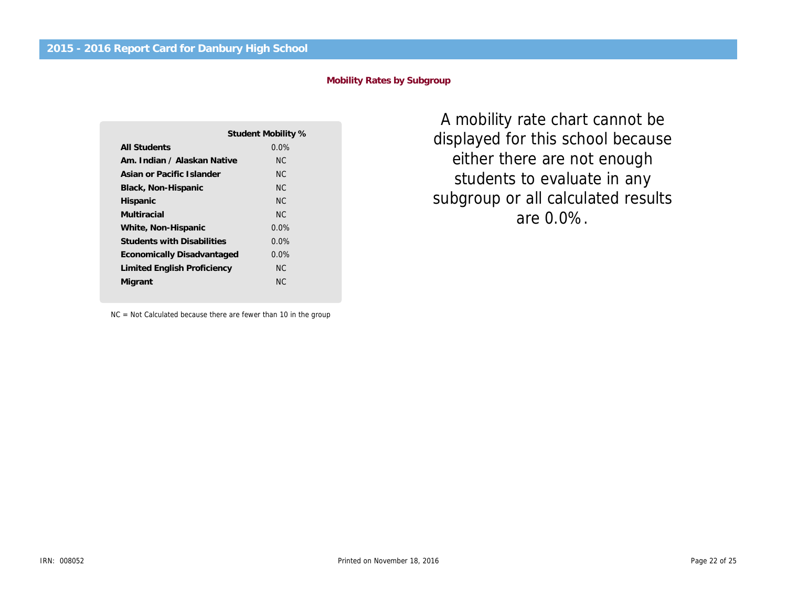#### Mobility Rates by Subgroup

|                                   | Student Mobility % |
|-----------------------------------|--------------------|
| All Students                      | $0.0\%$            |
| Am. Indian / Alaskan Native       | NC.                |
| Asian or Pacific Islander         | NC.                |
| Black, Non-Hispanic               | NC.                |
| Hispanic                          | NC.                |
| Multiracial                       | NC.                |
| White, Non-Hispanic               | $0.0\%$            |
| <b>Students with Disabilities</b> | $0.0\%$            |
| Economically Disadvantaged        | $0.0\%$            |
| Limited English Proficiency       | NC.                |
| Migrant                           | NC.                |
|                                   |                    |

NC = Not Calculated because there are fewer than 10 in the group

A mobility rate chart ca displayed for this school either there are not en students to evaluate i subgroup or all calculate are 0.0%.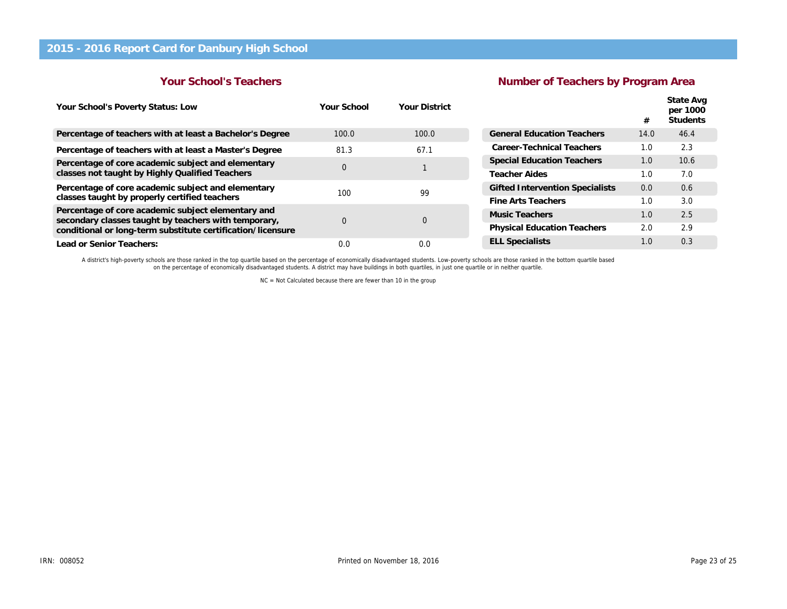#### Your School's Teachers

#### Number of Teachers by

| Your School's Poverty Status: Low                                                                          | Your School | <b>Your District</b> |                                        |
|------------------------------------------------------------------------------------------------------------|-------------|----------------------|----------------------------------------|
| Percentage of teachers with at least a Bachelor's Degree                                                   | 100.0       | 100.0                | <b>General Education Teachers</b>      |
| Percentage of teachers with at least a Master's Degree                                                     | 81.3        | 67.1                 | Career-Technical Teachers              |
| Percentage of core academic subject and elementary                                                         | 0           |                      | <b>Special Education Teachers</b>      |
| classes not taught by Highly Qualified Teachers                                                            |             |                      | Teacher Aides                          |
| Percentage of core academic subject and elementary                                                         | 100         | 99                   | <b>Gifted Intervention Specialists</b> |
| classes taught by properly certified teachers                                                              |             |                      | Fine Arts Teachers                     |
| Percentage of core academic subject elementary and<br>secondary classes taught by teachers with temporary, | 0           |                      | <b>Music Teachers</b>                  |
| conditional or long-term substitute certification/licensure                                                |             |                      | <b>Physical Education Teachers</b>     |
| Lead or Senior Teachers:                                                                                   | 0.0         | 0.0                  | <b>ELL Specialists</b>                 |
|                                                                                                            |             |                      |                                        |

A district's high-poverty schools are those ranked in the top quartile based on the percentage of economically disadvantaged students. Low-poverty schools are those ranked in the bottom quartile base<br>on the percentage of e

NC = Not Calculated because there are fewer than 10 in the group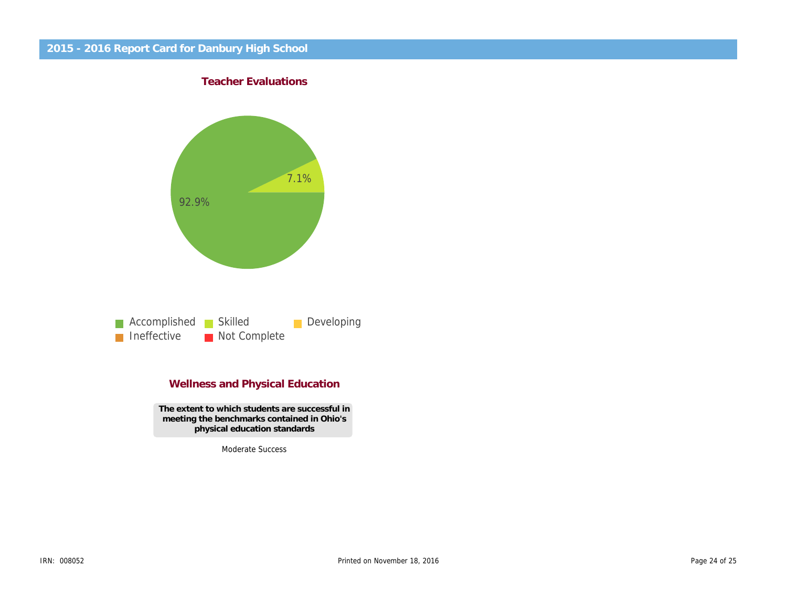Teacher Evaluations

#### Wellness and Physical Education

The extent to which students are successful in meeting the benchmarks contained in Ohio's physical education standards

Moderate Success